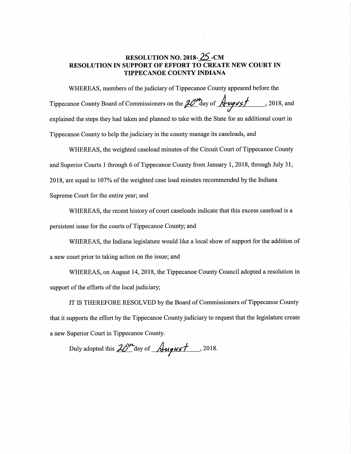## RESOLUTION NO. 2018— 25 -CM RESOLUTION IN SUPPORT OF EFFORT TO CREATE NEW COURT IN' TIPPECANOE COUNTY INDIANA

WHEREAS, members of the judiciary of Tippecanoe County appeared before the Tippecanoe County Board of Commissioners on the  $20$  day of  $\frac{1}{2}$   $\frac{1}{3}$ , 2018, and explained the steps they had taken and planned to take with the State for an additional court in Tippecanoe County to help the judiciary in the county manage its caseloads, and

WHEREAS, the weighted caseload minutes of the Circuit Court of Tippecanoe County and Superior Courts <sup>1</sup> through <sup>6</sup> of Tippecanoe County from January 1, 2018, through July 31,  $2018$ , are equal to  $107\%$  of the weighted case load minutes recommended by the Indiana Supreme Court for the entire year; and

WHEREAS, the recent history of court caseloads indicate that this excess caseload is a persistent issue for the courts of Tippecanoe County; and

WHEREAS, the Indiana legislature would like <sup>a</sup> local show of support for the addition of <sup>a</sup> new court prior to taking action on the issue; and

WHEREAS, on August 14, 2018, the Tippecanoe County Council adopted <sup>a</sup> resolution in support of the efforts of the local judiciary;

IT IS THEREFORE RESOLVED by the Board of Commissioners of Tippecanoe County that it supports the effort by the Tippecanoe County judiciary to request that the legislature create <sup>a</sup> new Superior Court in Tippecanoe County.

Duly adopted this  $20<sup>m</sup>$  day of  $\sqrt{u$ gust , 2018.